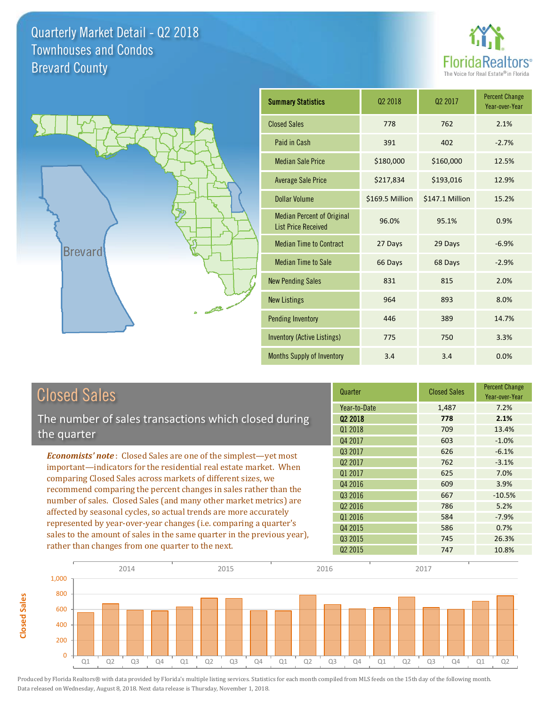**Closed Sales**

**Closed Sales** 





| <b>Summary Statistics</b>                                       | 02 2018         | 02 2017         | <b>Percent Change</b><br>Year-over-Year |
|-----------------------------------------------------------------|-----------------|-----------------|-----------------------------------------|
| <b>Closed Sales</b>                                             | 778             | 762             | 2.1%                                    |
| Paid in Cash                                                    | 391             | 402             | $-2.7%$                                 |
| <b>Median Sale Price</b>                                        | \$180,000       | \$160,000       | 12.5%                                   |
| <b>Average Sale Price</b>                                       | \$217,834       | \$193,016       | 12.9%                                   |
| Dollar Volume                                                   | \$169.5 Million | \$147.1 Million | 15.2%                                   |
| <b>Median Percent of Original</b><br><b>List Price Received</b> | 96.0%           | 95.1%           | 0.9%                                    |
| <b>Median Time to Contract</b>                                  | 27 Days         | 29 Days         | $-6.9%$                                 |
| <b>Median Time to Sale</b>                                      | 66 Days         | 68 Days         | $-2.9%$                                 |
| <b>New Pending Sales</b>                                        | 831             | 815             | 2.0%                                    |
| <b>New Listings</b>                                             | 964             | 893             | 8.0%                                    |
| <b>Pending Inventory</b>                                        | 446             | 389             | 14.7%                                   |
| <b>Inventory (Active Listings)</b>                              | 775             | 750             | 3.3%                                    |
| Months Supply of Inventory                                      | 3.4             | 3.4             | 0.0%                                    |

| <b>Closed Sales</b>                                                                                                                                                                                                                                                                                                                             | Quarter             | <b>Closed Sales</b> | <b>Percent Change</b><br>Year-over-Year |
|-------------------------------------------------------------------------------------------------------------------------------------------------------------------------------------------------------------------------------------------------------------------------------------------------------------------------------------------------|---------------------|---------------------|-----------------------------------------|
|                                                                                                                                                                                                                                                                                                                                                 | Year-to-Date        | 1,487               | 7.2%                                    |
| The number of sales transactions which closed during                                                                                                                                                                                                                                                                                            | Q <sub>2</sub> 2018 | 778                 | 2.1%                                    |
| the quarter                                                                                                                                                                                                                                                                                                                                     | Q1 2018             | 709                 | 13.4%                                   |
|                                                                                                                                                                                                                                                                                                                                                 | Q4 2017             | 603                 | $-1.0%$                                 |
| <b>Economists' note:</b> Closed Sales are one of the simplest-yet most                                                                                                                                                                                                                                                                          | Q3 2017             | 626                 | $-6.1%$                                 |
| important—indicators for the residential real estate market. When                                                                                                                                                                                                                                                                               | Q <sub>2</sub> 2017 | 762                 | $-3.1%$                                 |
| comparing Closed Sales across markets of different sizes, we<br>recommend comparing the percent changes in sales rather than the<br>number of sales. Closed Sales (and many other market metrics) are<br>affected by seasonal cycles, so actual trends are more accurately<br>represented by year-over-year changes (i.e. comparing a quarter's | 01 2017             | 625                 | 7.0%                                    |
|                                                                                                                                                                                                                                                                                                                                                 | Q4 2016             | 609                 | 3.9%                                    |
|                                                                                                                                                                                                                                                                                                                                                 | Q3 2016             | 667                 | $-10.5%$                                |
|                                                                                                                                                                                                                                                                                                                                                 | Q <sub>2</sub> 2016 | 786                 | 5.2%                                    |
|                                                                                                                                                                                                                                                                                                                                                 | Q1 2016             | 584                 | $-7.9%$                                 |
|                                                                                                                                                                                                                                                                                                                                                 | Q4 2015             | 586                 | 0.7%                                    |
| sales to the amount of sales in the same quarter in the previous year),                                                                                                                                                                                                                                                                         | 03 2015             | 745                 | 26.3%                                   |
| rather than changes from one quarter to the next.                                                                                                                                                                                                                                                                                               | Q <sub>2</sub> 2015 | 747                 | 10.8%                                   |

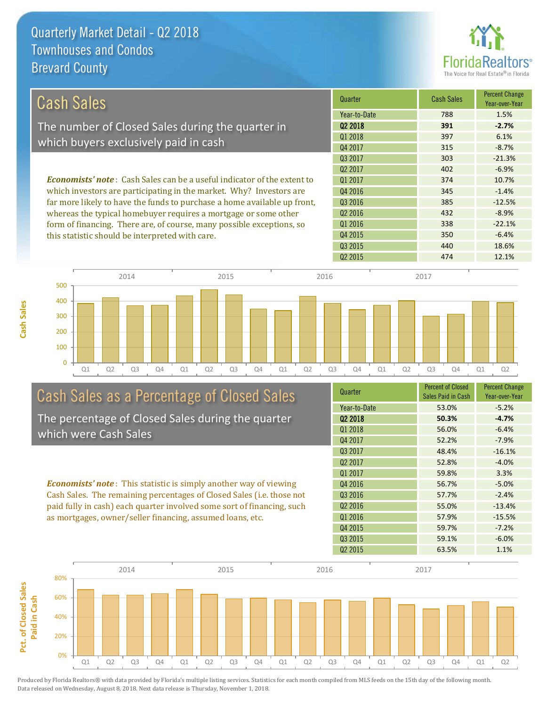

|                                                                                |                     |                   | <b>Percent Change</b> |
|--------------------------------------------------------------------------------|---------------------|-------------------|-----------------------|
| Cash Sales                                                                     | Quarter             | <b>Cash Sales</b> | Year-over-Year        |
|                                                                                | Year-to-Date        | 788               | 1.5%                  |
| The number of Closed Sales during the quarter in                               | Q <sub>2</sub> 2018 | 391               | $-2.7%$               |
|                                                                                | Q1 2018             | 397               | 6.1%                  |
| which buyers exclusively paid in cash                                          | Q4 2017             | 315               | $-8.7%$               |
|                                                                                | Q3 2017             | 303               | $-21.3%$              |
|                                                                                | 02 2017             | 402               | $-6.9%$               |
| <b>Economists' note:</b> Cash Sales can be a useful indicator of the extent to | 01 2017             | 374               | 10.7%                 |
| which investors are participating in the market. Why? Investors are            | Q4 2016             | 345               | $-1.4%$               |
| far more likely to have the funds to purchase a home available up front,       | Q3 2016             | 385               | $-12.5%$              |
| whereas the typical homebuyer requires a mortgage or some other                | Q <sub>2</sub> 2016 | 432               | $-8.9%$               |
| form of financing. There are, of course, many possible exceptions, so          | Q1 2016             | 338               | $-22.1%$              |
| this statistic should be interpreted with care.                                | Q4 2015             | 350               | $-6.4%$               |



# Cash Sales as a Percentage of Closed Sales

The percentage of Closed Sales during the quarter which were Cash Sales

*Economists' note* : This statistic is simply another way of viewing Cash Sales. The remaining percentages of Closed Sales (i.e. those not paid fully in cash) each quarter involved some sort of financing, such as mortgages, owner/seller financing, assumed loans, etc.

| Quarter             | <b>Percent of Closed</b> | <b>Percent Change</b> |
|---------------------|--------------------------|-----------------------|
|                     | Sales Paid in Cash       | Year-over-Year        |
| Year-to-Date        | 53.0%                    | $-5.2%$               |
| Q <sub>2</sub> 2018 | 50.3%                    | $-4.7%$               |
| 01 2018             | 56.0%                    | $-6.4%$               |
| Q4 2017             | 52.2%                    | $-7.9%$               |
| Q3 2017             | 48.4%                    | $-16.1%$              |
| Q <sub>2</sub> 2017 | 52.8%                    | $-4.0%$               |
| Q1 2017             | 59.8%                    | 3.3%                  |
| 04 2016             | 56.7%                    | $-5.0%$               |
| Q3 2016             | 57.7%                    | $-2.4%$               |
| Q <sub>2</sub> 2016 | 55.0%                    | $-13.4%$              |
| Q1 2016             | 57.9%                    | $-15.5%$              |
| Q4 2015             | 59.7%                    | $-7.2%$               |
| Q3 2015             | 59.1%                    | $-6.0%$               |
| Q <sub>2</sub> 2015 | 63.5%                    | 1.1%                  |
|                     |                          |                       |

Q2 2015 474 474 12.1%

Q3 2015 440 18.6%

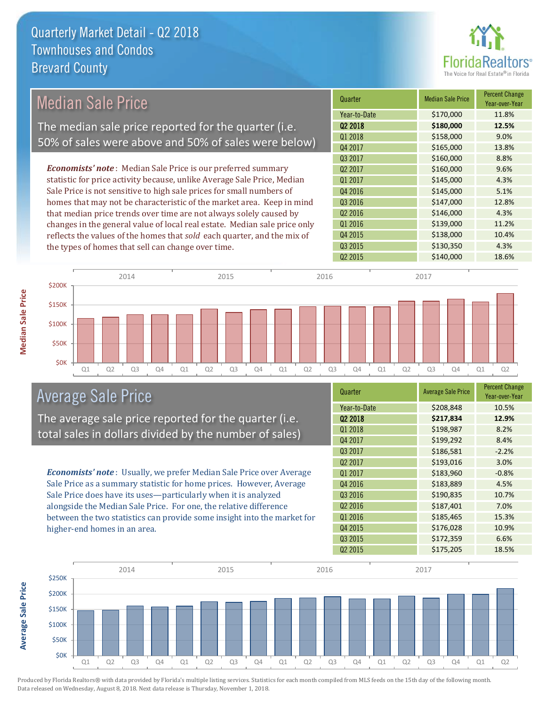

#### Quarter Median Sale Price Percent Change Year-over-Year Q2 2018 **\$180,000 12.5%** Year-to-Date \$170,000 11.8% Q3 2016 \$147,000 12.8% Q1 2018 **\$158,000** 9.0% Q4 2017 \$165,000 13.8% Q1 2017 **\$145,000** \$145,000 4.3% Q4 2016 **\$145,000** 5.1% Q3 2017 \$160,000 8.8% Q2 2017 \$160,000 9.6% Q2 2016 \$146,000 4.3% Q1 2016 **\$139,000** 11.2% Q4 2015 \$138,000 10.4% Q3 2015 \$130,350 4.3% Q2 2015 \$140,000 18.6% *Economists' note* : Median Sale Price is our preferred summary statistic for price activity because, unlike Average Sale Price, Median Sale Price is not sensitive to high sale prices for small numbers of homes that may not be characteristic of the market area. Keep in mind that median price trends over time are not always solely caused by changes in the general value of local real estate. Median sale price only reflects the values of the homes that *sold* each quarter, and the mix of the types of homes that sell can change over time. \$150K \$200K 2014 2015 2015 2016 2017 2018 2017 2017 2017 2017 Median Sale Price The median sale price reported for the quarter (i.e. 50% of sales were above and 50% of sales were below)

Q1 Q2 Q3 Q4 Q1 Q2 Q3 Q4 Q1 Q2 Q3 Q4 Q1 Q2 Q3 Q4 Q1 Q2

# Average Sale Price

\$0K

\$50K

\$100K

The average sale price reported for the quarter (i.e. total sales in dollars divided by the number of sales)

*Economists' note* : Usually, we prefer Median Sale Price over Average Sale Price as a summary statistic for home prices. However, Average Sale Price does have its uses—particularly when it is analyzed alongside the Median Sale Price. For one, the relative difference between the two statistics can provide some insight into the market for higher-end homes in an area.

| Quarter             | <b>Average Sale Price</b> | <b>Percent Change</b><br>Year-over-Year |
|---------------------|---------------------------|-----------------------------------------|
| Year-to-Date        | \$208,848                 | 10.5%                                   |
| Q <sub>2</sub> 2018 | \$217,834                 | 12.9%                                   |
| Q1 2018             | \$198,987                 | 8.2%                                    |
| Q4 2017             | \$199,292                 | 8.4%                                    |
| Q3 2017             | \$186,581                 | $-2.2%$                                 |
| Q <sub>2</sub> 2017 | \$193,016                 | 3.0%                                    |
| Q1 2017             | \$183,960                 | $-0.8%$                                 |
| Q4 2016             | \$183,889                 | 4.5%                                    |
| Q3 2016             | \$190,835                 | 10.7%                                   |
| Q <sub>2</sub> 2016 | \$187,401                 | 7.0%                                    |
| Q1 2016             | \$185,465                 | 15.3%                                   |
| Q4 2015             | \$176,028                 | 10.9%                                   |
| Q3 2015             | \$172,359                 | 6.6%                                    |
| Q <sub>2</sub> 2015 | \$175,205                 | 18.5%                                   |



Produced by Florida Realtors® with data provided by Florida's multiple listing services. Statistics for each month compiled from MLS feeds on the 15th day of the following month. Data released on Wednesday, August 8, 2018. Next data release is Thursday, November 1, 2018.

**Average Sale Price**

**Average Sale Price**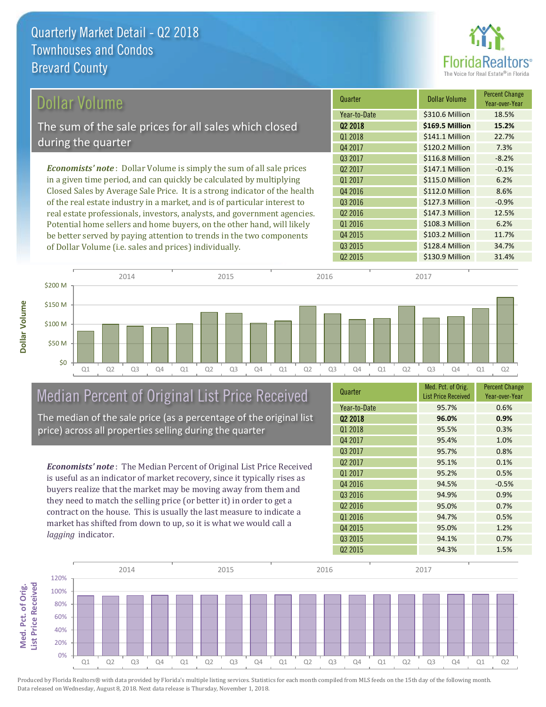

| Dollar Volume                                                                | Quarter             | <b>Dollar Volume</b> | <b>Percent Change</b><br>Year-over-Year |
|------------------------------------------------------------------------------|---------------------|----------------------|-----------------------------------------|
|                                                                              | Year-to-Date        | \$310.6 Million      | 18.5%                                   |
| The sum of the sale prices for all sales which closed                        | 02 2018             | \$169.5 Million      | 15.2%                                   |
| during the quarter                                                           | 01 2018             | \$141.1 Million      | 22.7%                                   |
|                                                                              | Q4 2017             | \$120.2 Million      | 7.3%                                    |
|                                                                              | Q3 2017             | \$116.8 Million      | $-8.2%$                                 |
| <b>Economists' note</b> : Dollar Volume is simply the sum of all sale prices | 02 2017             | \$147.1 Million      | $-0.1%$                                 |
| in a given time period, and can quickly be calculated by multiplying         | 01 2017             | \$115.0 Million      | 6.2%                                    |
| Closed Sales by Average Sale Price. It is a strong indicator of the health   | Q4 2016             | \$112.0 Million      | 8.6%                                    |
| of the real estate industry in a market, and is of particular interest to    | Q3 2016             | \$127.3 Million      | $-0.9%$                                 |
| real estate professionals, investors, analysts, and government agencies.     | Q <sub>2</sub> 2016 | \$147.3 Million      | 12.5%                                   |
| Potential home sellers and home buyers, on the other hand, will likely       | Q1 2016             | \$108.3 Million      | 6.2%                                    |

Q1 Q2 Q3 Q4 Q1 Q2 Q3 Q4 Q1 Q2 Q3 Q4 Q1 Q2 Q3 Q4 Q1 Q2 \$0 \$50 M \$100 M \$150 M \$200 M 2014 2015 2015 2016 2017 2018 2017 2017 2017 2017

# Median Percent of Original List Price Received

be better served by paying attention to trends in the two components

of Dollar Volume (i.e. sales and prices) individually.

The median of the sale price (as a percentage of the original list price) across all properties selling during the quarter

*Economists' note* : The Median Percent of Original List Price Received is useful as an indicator of market recovery, since it typically rises as buyers realize that the market may be moving away from them and they need to match the selling price (or better it) in order to get a contract on the house. This is usually the last measure to indicate a market has shifted from down to up, so it is what we would call a *lagging* indicator.

| Quarter             | Med. Pct. of Orig.<br><b>List Price Received</b> | <b>Percent Change</b><br>Year-over-Year |
|---------------------|--------------------------------------------------|-----------------------------------------|
| Year-to-Date        | 95.7%                                            | 0.6%                                    |
| Q <sub>2</sub> 2018 | 96.0%                                            | 0.9%                                    |
| 01 2018             | 95.5%                                            | 0.3%                                    |
| Q4 2017             | 95.4%                                            | 1.0%                                    |
| 03 2017             | 95.7%                                            | 0.8%                                    |
| Q <sub>2</sub> 2017 | 95.1%                                            | 0.1%                                    |
| Q1 2017             | 95.2%                                            | 0.5%                                    |
| Q4 2016             | 94.5%                                            | $-0.5%$                                 |
| 03 2016             | 94.9%                                            | 0.9%                                    |
| Q <sub>2</sub> 2016 | 95.0%                                            | 0.7%                                    |
| Q1 2016             | 94.7%                                            | 0.5%                                    |
| Q4 2015             | 95.0%                                            | 1.2%                                    |
| Q3 2015             | 94.1%                                            | 0.7%                                    |
| Q <sub>2</sub> 2015 | 94.3%                                            | 1.5%                                    |

Q2 2015 **\$130.9 Million 31.4%** 

Q3 2015 **\$128.4 Million** 34.7%

\$103.2 Million 11.7%

Q4 2015

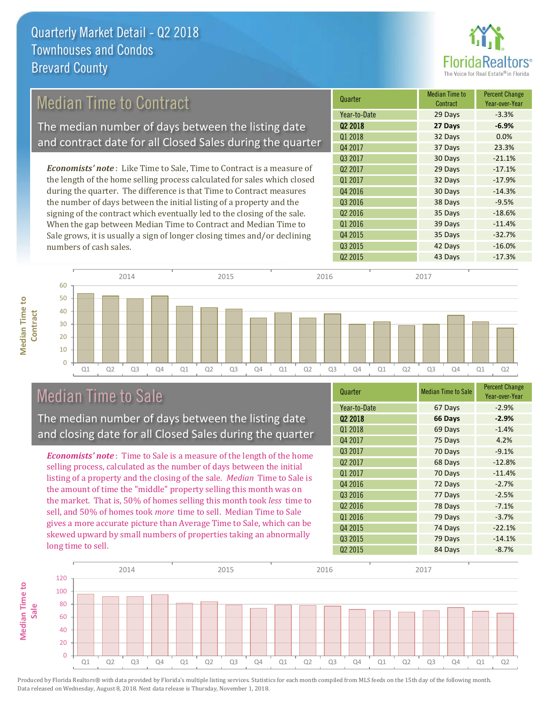

# Median Time to Contract

The median number of days between the listing date and contract date for all Closed Sales during the quarter

*Economists' note* : Like Time to Sale, Time to Contract is a measure of the length of the home selling process calculated for sales which closed during the quarter. The difference is that Time to Contract measures the number of days between the initial listing of a property and the signing of the contract which eventually led to the closing of the sale. When the gap between Median Time to Contract and Median Time to Sale grows, it is usually a sign of longer closing times and/or declining numbers of cash sales.





### Median Time to Sale

**Median Time to** 

**Median Time to** 

The median number of days between the listing date and closing date for all Closed Sales during the quarter

*Economists' note* : Time to Sale is a measure of the length of the home selling process, calculated as the number of days between the initial listing of a property and the closing of the sale. *Median* Time to Sale is the amount of time the "middle" property selling this month was on the market. That is, 50% of homes selling this month took *less* time to sell, and 50% of homes took *more* time to sell. Median Time to Sale gives a more accurate picture than Average Time to Sale, which can be skewed upward by small numbers of properties taking an abnormally long time to sell.

| Quarter             | <b>Median Time to Sale</b> | <b>Percent Change</b><br>Year-over-Year |
|---------------------|----------------------------|-----------------------------------------|
| Year-to-Date        | 67 Days                    | $-2.9%$                                 |
| Q <sub>2</sub> 2018 | 66 Days                    | $-2.9%$                                 |
| Q1 2018             | 69 Days                    | $-1.4%$                                 |
| Q4 2017             | 75 Days                    | 4.2%                                    |
| Q3 2017             | 70 Days                    | $-9.1%$                                 |
| Q <sub>2</sub> 2017 | 68 Days                    | $-12.8%$                                |
| Q1 2017             | 70 Days                    | $-11.4%$                                |
| Q4 2016             | 72 Days                    | $-2.7%$                                 |
| Q3 2016             | 77 Days                    | $-2.5%$                                 |
| Q <sub>2</sub> 2016 | 78 Days                    | $-7.1%$                                 |
| Q1 2016             | 79 Days                    | $-3.7%$                                 |
| Q4 2015             | 74 Days                    | $-22.1%$                                |
| Q3 2015             | 79 Days                    | $-14.1%$                                |
| Q <sub>2</sub> 2015 | 84 Days                    | $-8.7%$                                 |

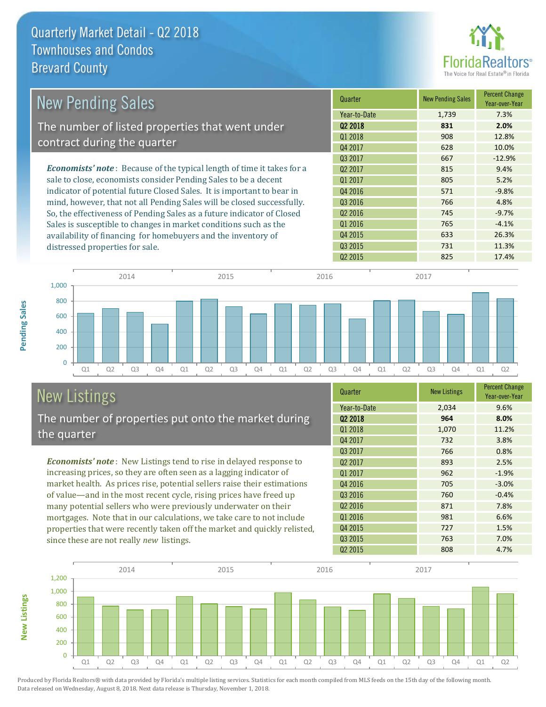

| <b>New Pending Sales</b>                                                      | Quarter             | <b>New Pending Sales</b> | <b>Percent Change</b><br>Year-over-Year |
|-------------------------------------------------------------------------------|---------------------|--------------------------|-----------------------------------------|
|                                                                               | Year-to-Date        | 1,739                    | 7.3%                                    |
| The number of listed properties that went under                               | Q <sub>2</sub> 2018 | 831                      | 2.0%                                    |
| contract during the quarter                                                   | Q1 2018             | 908                      | 12.8%                                   |
|                                                                               | Q4 2017             | 628                      | 10.0%                                   |
|                                                                               | Q3 2017             | 667                      | $-12.9%$                                |
| <b>Economists' note:</b> Because of the typical length of time it takes for a | 02 2017             | 815                      | 9.4%                                    |
| sale to close, economists consider Pending Sales to be a decent               | Q1 2017             | 805                      | 5.2%                                    |
| indicator of potential future Closed Sales. It is important to bear in        | Q4 2016             | 571                      | $-9.8%$                                 |
| mind, however, that not all Pending Sales will be closed successfully.        | Q3 2016             | 766                      | 4.8%                                    |
| So, the effectiveness of Pending Sales as a future indicator of Closed        | Q <sub>2</sub> 2016 | 745                      | $-9.7%$                                 |
| Sales is susceptible to changes in market conditions such as the              | Q1 2016             | 765                      | $-4.1%$                                 |
| availability of financing for homebuyers and the inventory of                 | Q4 2015             | 633                      | 26.3%                                   |
| distressed properties for sale.                                               | Q3 2015             | 731                      | 11.3%                                   |
|                                                                               | 02 2015             | 825                      | 17.4%                                   |



# New Listings

**New Listings**

**Pending Sales**

**Pending Sales** 

The number of properties put onto the market during the quarter

*Economists' note* : New Listings tend to rise in delayed response to increasing prices, so they are often seen as a lagging indicator of market health. As prices rise, potential sellers raise their estimations of value—and in the most recent cycle, rising prices have freed up many potential sellers who were previously underwater on their mortgages. Note that in our calculations, we take care to not include properties that were recently taken off the market and quickly relisted, since these are not really *new* listings.

| Quarter             | <b>New Listings</b> | <b>Percent Change</b><br>Year-over-Year |
|---------------------|---------------------|-----------------------------------------|
| Year-to-Date        | 2,034               | 9.6%                                    |
| Q <sub>2</sub> 2018 | 964                 | 8.0%                                    |
| Q1 2018             | 1,070               | 11.2%                                   |
| Q4 2017             | 732                 | 3.8%                                    |
| Q3 2017             | 766                 | 0.8%                                    |
| Q <sub>2</sub> 2017 | 893                 | 2.5%                                    |
| Q1 2017             | 962                 | $-1.9%$                                 |
| Q4 2016             | 705                 | $-3.0%$                                 |
| Q3 2016             | 760                 | $-0.4%$                                 |
| Q <sub>2</sub> 2016 | 871                 | 7.8%                                    |
| Q1 2016             | 981                 | 6.6%                                    |
| Q4 2015             | 727                 | 1.5%                                    |
| Q3 2015             | 763                 | 7.0%                                    |
| Q <sub>2</sub> 2015 | 808                 | 4.7%                                    |

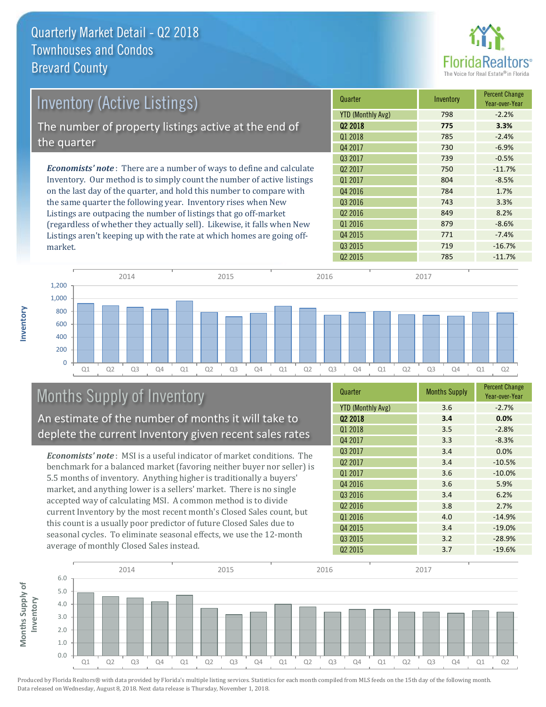

| <b>Inventory (Active Listings)</b>                                           | Quarter                  | Inventory | <b>Percent Change</b><br>Year-over-Year |
|------------------------------------------------------------------------------|--------------------------|-----------|-----------------------------------------|
|                                                                              | <b>YTD (Monthly Avg)</b> | 798       | $-2.2%$                                 |
| The number of property listings active at the end of                         | 02 2018                  | 775       | 3.3%                                    |
|                                                                              | Q1 2018                  | 785       | $-2.4%$                                 |
| the quarter                                                                  | Q4 2017                  | 730       | $-6.9%$                                 |
|                                                                              | Q3 2017                  | 739       | $-0.5%$                                 |
| <b>Economists' note</b> : There are a number of ways to define and calculate | Q <sub>2</sub> 2017      | 750       | $-11.7%$                                |
| Inventory. Our method is to simply count the number of active listings       | 01 2017                  | 804       | $-8.5%$                                 |
| on the last day of the quarter, and hold this number to compare with         | Q4 2016                  | 784       | 1.7%                                    |
| the same quarter the following year. Inventory rises when New                | Q3 2016                  | 743       | 3.3%                                    |
| Listings are outpacing the number of listings that go off-market             | Q <sub>2</sub> 2016      | 849       | 8.2%                                    |
| (regardless of whether they actually sell). Likewise, it falls when New      | Q1 2016                  | 879       | $-8.6%$                                 |

Q1 Q2 Q3 Q4 Q1 Q2 Q3 Q4 Q1 Q2 Q3 Q4 Q1 Q2 Q3 Q4 Q1 Q2  $\Omega$ 200 400 600 800 1,000 1,200 2014 2015 2015 2016 2017 2018 2017 2017 2017 2017

# Months Supply of Inventory

An estimate of the number of months it will take to deplete the current Inventory given recent sales rates

Listings aren't keeping up with the rate at which homes are going off-

*Economists' note* : MSI is a useful indicator of market conditions. The benchmark for a balanced market (favoring neither buyer nor seller) is 5.5 months of inventory. Anything higher is traditionally a buyers' market, and anything lower is a sellers' market. There is no single accepted way of calculating MSI. A common method is to divide current Inventory by the most recent month's Closed Sales count, but this count is a usually poor predictor of future Closed Sales due to seasonal cycles. To eliminate seasonal effects, we use the 12-month average of monthly Closed Sales instead.

| Quarter                  | <b>Months Supply</b> | <b>Percent Change</b><br>Year-over-Year |
|--------------------------|----------------------|-----------------------------------------|
| <b>YTD (Monthly Avg)</b> | 3.6                  | $-2.7%$                                 |
| Q <sub>2</sub> 2018      | 3.4                  | 0.0%                                    |
| Q1 2018                  | 3.5                  | $-2.8%$                                 |
| Q4 2017                  | 3.3                  | $-8.3%$                                 |
| Q3 2017                  | 3.4                  | 0.0%                                    |
| Q2 2017                  | 3.4                  | $-10.5%$                                |
| Q1 2017                  | 3.6                  | $-10.0%$                                |
| Q4 2016                  | 3.6                  | 5.9%                                    |
| Q3 2016                  | 3.4                  | 6.2%                                    |
| Q <sub>2</sub> 2016      | 3.8                  | 2.7%                                    |
| Q1 2016                  | 4.0                  | $-14.9%$                                |
| Q4 2015                  | 3.4                  | $-19.0%$                                |
| Q3 2015                  | 3.2                  | $-28.9%$                                |
| Q <sub>2</sub> 2015      | 3.7                  | $-19.6%$                                |

 $Q2\ 2015$  785 -11.7%

Q4 2015 **771** -7.4% Q3 2015 719 719 -16.7%



Produced by Florida Realtors® with data provided by Florida's multiple listing services. Statistics for each month compiled from MLS feeds on the 15th day of the following month. Data released on Wednesday, August 8, 2018. Next data release is Thursday, November 1, 2018.

market.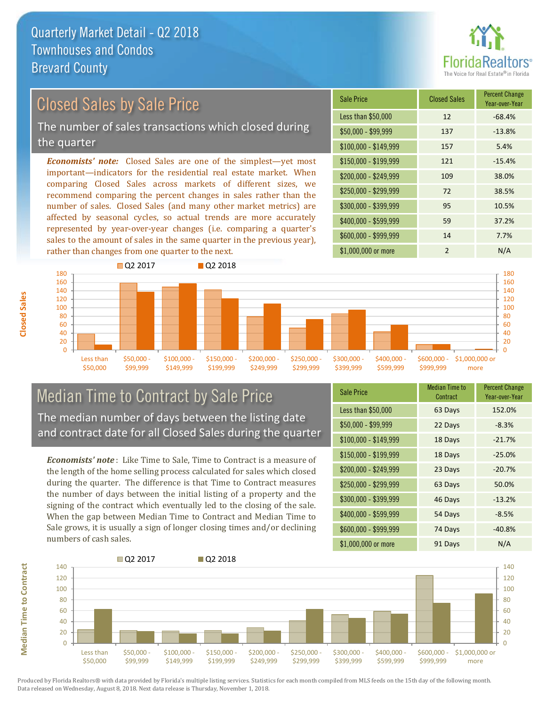

# Closed Sales by Sale Price

The number of sales transactions which closed during the quarter

*Economists' note:* Closed Sales are one of the simplest—yet most important—indicators for the residential real estate market. When comparing Closed Sales across markets of different sizes, we recommend comparing the percent changes in sales rather than the number of sales. Closed Sales (and many other market metrics) are affected by seasonal cycles, so actual trends are more accurately represented by year-over-year changes (i.e. comparing a quarter's sales to the amount of sales in the same quarter in the previous year), rather than changes from one quarter to the next.

| Sale Price            | <b>Closed Sales</b> | <b>Percent Change</b><br>Year-over-Year |
|-----------------------|---------------------|-----------------------------------------|
| Less than \$50,000    | 12                  | $-68.4%$                                |
| \$50,000 - \$99,999   | 137                 | $-13.8%$                                |
| $$100,000 - $149,999$ | 157                 | 5.4%                                    |
| $$150,000 - $199,999$ | 121                 | $-15.4%$                                |
| \$200,000 - \$249,999 | 109                 | 38.0%                                   |
| \$250,000 - \$299,999 | 72                  | 38.5%                                   |
| \$300,000 - \$399,999 | 95                  | 10.5%                                   |
| \$400,000 - \$599,999 | 59                  | 37.2%                                   |
| \$600,000 - \$999,999 | 14                  | 7.7%                                    |
| \$1,000,000 or more   | $\mathfrak{p}$      | N/A                                     |



### Median Time to Contract by Sale Price The median number of days between the listing date and contract date for all Closed Sales during the quarter

*Economists' note* : Like Time to Sale, Time to Contract is a measure of the length of the home selling process calculated for sales which closed during the quarter. The difference is that Time to Contract measures the number of days between the initial listing of a property and the signing of the contract which eventually led to the closing of the sale. When the gap between Median Time to Contract and Median Time to Sale grows, it is usually a sign of longer closing times and/or declining numbers of cash sales.

| <b>Sale Price</b>     | Median Time to<br>Contract | <b>Percent Change</b><br>Year-over-Year |
|-----------------------|----------------------------|-----------------------------------------|
| Less than \$50,000    | 63 Days                    | 152.0%                                  |
| $$50,000 - $99,999$   | 22 Days                    | $-8.3%$                                 |
| $$100,000 - $149,999$ | 18 Days                    | $-21.7%$                                |
| $$150,000 - $199,999$ | 18 Days                    | $-25.0%$                                |
| \$200,000 - \$249,999 | 23 Days                    | $-20.7%$                                |
| \$250,000 - \$299,999 | 63 Days                    | 50.0%                                   |
| \$300,000 - \$399,999 | 46 Days                    | $-13.2%$                                |
| \$400,000 - \$599,999 | 54 Days                    | $-8.5%$                                 |
| \$600,000 - \$999,999 | 74 Days                    | $-40.8%$                                |
| \$1,000,000 or more   | 91 Days                    | N/A                                     |



**Closed Sales**

**Median Time to Contract Median Time to Contract**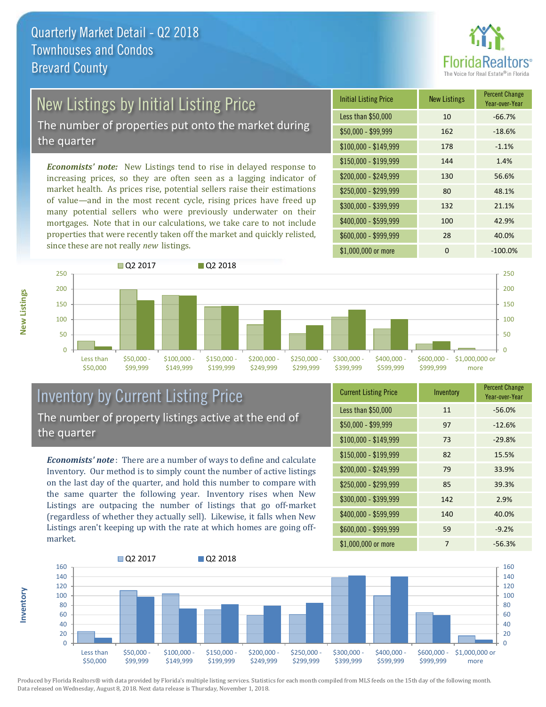

# New Listings by Initial Listing Price

The number of properties put onto the market during the quarter

*Economists' note:* New Listings tend to rise in delayed response to increasing prices, so they are often seen as a lagging indicator of market health. As prices rise, potential sellers raise their estimations of value—and in the most recent cycle, rising prices have freed up many potential sellers who were previously underwater on their mortgages. Note that in our calculations, we take care to not include properties that were recently taken off the market and quickly relisted, since these are not really *new* listings.

| <b>Initial Listing Price</b> | <b>New Listings</b> | <b>Percent Change</b><br>Year-over-Year |
|------------------------------|---------------------|-----------------------------------------|
| Less than \$50,000           | 10                  | $-66.7%$                                |
| \$50,000 - \$99,999          | 162                 | $-18.6%$                                |
| $$100,000 - $149,999$        | 178                 | $-1.1%$                                 |
| $$150,000 - $199,999$        | 144                 | 1.4%                                    |
| \$200,000 - \$249,999        | 130                 | 56.6%                                   |
| \$250,000 - \$299,999        | 80                  | 48.1%                                   |
| \$300,000 - \$399,999        | 132                 | 21.1%                                   |
| \$400,000 - \$599,999        | 100                 | 42.9%                                   |
| \$600,000 - \$999,999        | 28                  | 40.0%                                   |
| \$1,000,000 or more          | 0                   | $-100.0%$                               |



### Inventory by Current Listing Price The number of property listings active at the end of the quarter

*Economists' note* : There are a number of ways to define and calculate Inventory. Our method is to simply count the number of active listings on the last day of the quarter, and hold this number to compare with the same quarter the following year. Inventory rises when New Listings are outpacing the number of listings that go off-market (regardless of whether they actually sell). Likewise, it falls when New Listings aren't keeping up with the rate at which homes are going offmarket.

| <b>Current Listing Price</b> | Inventory | <b>Percent Change</b><br>Year-over-Year |
|------------------------------|-----------|-----------------------------------------|
| Less than \$50,000           | 11        | $-56.0%$                                |
| $$50,000 - $99,999$          | 97        | $-12.6%$                                |
| $$100,000 - $149,999$        | 73        | $-29.8%$                                |
| $$150,000 - $199,999$        | 82        | 15.5%                                   |
| \$200,000 - \$249,999        | 79        | 33.9%                                   |
| \$250,000 - \$299,999        | 85        | 39.3%                                   |
| \$300,000 - \$399,999        | 142       | 2.9%                                    |
| \$400,000 - \$599,999        | 140       | 40.0%                                   |
| \$600,000 - \$999,999        | 59        | $-9.2%$                                 |
| \$1,000,000 or more          | 7         | $-56.3%$                                |



Produced by Florida Realtors® with data provided by Florida's multiple listing services. Statistics for each month compiled from MLS feeds on the 15th day of the following month. Data released on Wednesday, August 8, 2018. Next data release is Thursday, November 1, 2018.

**Inventory**